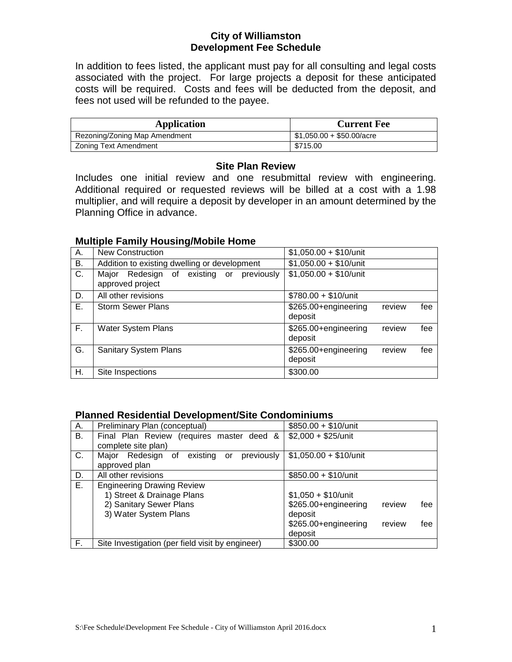## **City of Williamston Development Fee Schedule**

In addition to fees listed, the applicant must pay for all consulting and legal costs associated with the project. For large projects a deposit for these anticipated costs will be required. Costs and fees will be deducted from the deposit, and fees not used will be refunded to the payee.

| <b>Application</b>            | <b>Current Fee</b>                |
|-------------------------------|-----------------------------------|
| Rezoning/Zoning Map Amendment | $$1,050.00 + $50.00/ \text{acre}$ |
| Zoning Text Amendment         | \$715.00                          |

#### **Site Plan Review**

Includes one initial review and one resubmittal review with engineering. Additional required or requested reviews will be billed at a cost with a 1.98 multiplier, and will require a deposit by developer in an amount determined by the Planning Office in advance.

| А. | <b>New Construction</b>                              | $$1,050.00 + $10/$ unit               |  |
|----|------------------------------------------------------|---------------------------------------|--|
| В. | Addition to existing dwelling or development         | $$1,050.00 + $10/$ unit               |  |
| C. | Redesign<br>of<br>previously<br>existing or<br>Major | $$1,050.00 + $10/$ unit               |  |
|    | approved project                                     |                                       |  |
| D. | All other revisions                                  | $$780.00 + $10/$ unit                 |  |
| Ε. | <b>Storm Sewer Plans</b>                             | \$265.00+engineering<br>review<br>fee |  |
|    |                                                      | deposit                               |  |
| F. | <b>Water System Plans</b>                            | review<br>\$265.00+engineering<br>fee |  |
|    |                                                      | deposit                               |  |
| G. | <b>Sanitary System Plans</b>                         | review<br>\$265.00+engineering<br>fee |  |
|    |                                                      | deposit                               |  |
| Н. | Site Inspections                                     | \$300.00                              |  |

## **Multiple Family Housing/Mobile Home**

#### **Planned Residential Development/Site Condominiums**

| Α. | Preliminary Plan (conceptual)                    | $$850.00 + $10/$ unit                 |
|----|--------------------------------------------------|---------------------------------------|
| B. | Final Plan Review (requires master deed &        | $$2,000 + $25/$ unit                  |
|    | complete site plan)                              |                                       |
| C. | previously<br>Major Redesign of existing or      | $$1,050.00 + $10/$ unit               |
|    | approved plan                                    |                                       |
| D. | All other revisions                              | $$850.00 + $10/$ unit                 |
| E. | <b>Engineering Drawing Review</b>                |                                       |
|    | 1) Street & Drainage Plans                       | $$1,050 + $10/$ unit                  |
|    | 2) Sanitary Sewer Plans                          | \$265.00+engineering<br>review<br>fee |
|    | 3) Water System Plans                            | deposit                               |
|    |                                                  | \$265.00+engineering<br>review<br>fee |
|    |                                                  | deposit                               |
| Е. | Site Investigation (per field visit by engineer) | \$300.00                              |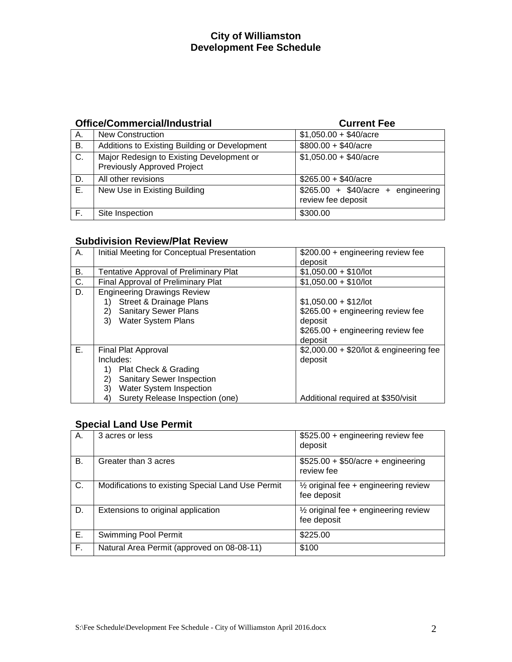## **City of Williamston Development Fee Schedule**

# **Office/Commercial/Industrial Current Fee**

| А. | <b>New Construction</b>                                                         | $$1,050.00 + $40/ \text{acre}$                           |
|----|---------------------------------------------------------------------------------|----------------------------------------------------------|
| В. | Additions to Existing Building or Development                                   | $$800.00 + $40/ \text{acre}$                             |
| C. | Major Redesign to Existing Development or<br><b>Previously Approved Project</b> | $$1,050.00 + $40/ \text{acre}$                           |
| D. | All other revisions                                                             | $$265.00 + $40/ \text{acre}$                             |
| Е. | New Use in Existing Building                                                    | $$265.00 + $40/acre + engineering$<br>review fee deposit |
| F. | Site Inspection                                                                 | \$300.00                                                 |

## **Subdivision Review/Plat Review**

| А. | Initial Meeting for Conceptual Presentation   | \$200.00 + engineering review fee<br>deposit |
|----|-----------------------------------------------|----------------------------------------------|
| В. | <b>Tentative Approval of Preliminary Plat</b> | $$1,050.00 + $10/$ lot                       |
| C. | Final Approval of Preliminary Plat            | $$1,050.00 + $10/$ lot                       |
| D. | <b>Engineering Drawings Review</b>            |                                              |
|    | <b>Street &amp; Drainage Plans</b><br>1)      | $$1,050.00 + $12$ /lot                       |
|    | 2) Sanitary Sewer Plans                       | $$265.00 + engineering$ review fee           |
|    | <b>Water System Plans</b><br>3)               | deposit                                      |
|    |                                               | $$265.00 + engineering$ review fee           |
|    |                                               | deposit                                      |
| Е. | Final Plat Approval                           | $$2,000.00 + $20$ /lot & engineering fee     |
|    | Includes:                                     | deposit                                      |
|    | Plat Check & Grading<br>1)                    |                                              |
|    | <b>Sanitary Sewer Inspection</b><br>2)        |                                              |
|    | Water System Inspection<br>3)                 |                                              |
|    | Surety Release Inspection (one)<br>4)         | Additional required at \$350/visit           |

# **Special Land Use Permit**

| А. | 3 acres or less                                   | \$525.00 + engineering review fee<br>deposit                   |
|----|---------------------------------------------------|----------------------------------------------------------------|
| В. | Greater than 3 acres                              | $$525.00 + $50/acre + engineering$<br>review fee               |
| C. | Modifications to existing Special Land Use Permit | $\frac{1}{2}$ original fee + engineering review<br>fee deposit |
| D. | Extensions to original application                | $\frac{1}{2}$ original fee + engineering review<br>fee deposit |
| Ε. | Swimming Pool Permit                              | \$225.00                                                       |
| F. | Natural Area Permit (approved on 08-08-11)        | \$100                                                          |